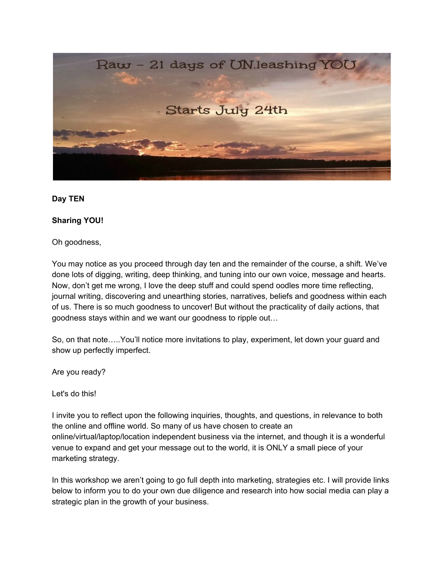

### **Day TEN**

### **Sharing YOU!**

Oh goodness,

You may notice as you proceed through day ten and the remainder of the course, a shift. We've done lots of digging, writing, deep thinking, and tuning into our own voice, message and hearts. Now, don't get me wrong, I love the deep stuff and could spend oodles more time reflecting, journal writing, discovering and unearthing stories, narratives, beliefs and goodness within each of us. There is so much goodness to uncover! But without the practicality of daily actions, that goodness stays within and we want our goodness to ripple out…

So, on that note…..You'll notice more invitations to play, experiment, let down your guard and show up perfectly imperfect.

Are you ready?

Let's do this!

I invite you to reflect upon the following inquiries, thoughts, and questions, in relevance to both the online and offline world. So many of us have chosen to create an online/virtual/laptop/location independent business via the internet, and though it is a wonderful venue to expand and get your message out to the world, it is ONLY a small piece of your marketing strategy.

In this workshop we aren't going to go full depth into marketing, strategies etc. I will provide links below to inform you to do your own due diligence and research into how social media can play a strategic plan in the growth of your business.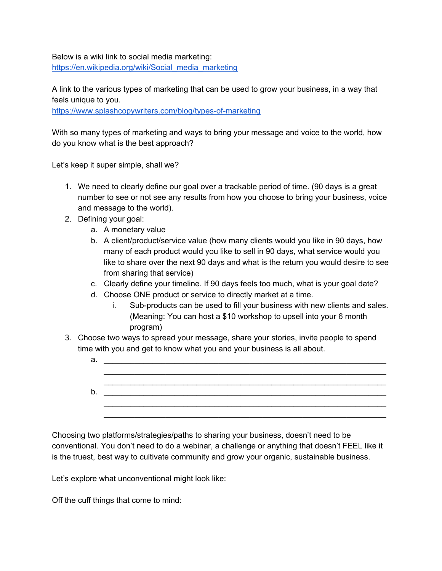Below is a wiki link to social media marketing: [https://en.wikipedia.org/wiki/Social\\_media\\_marketing](https://en.wikipedia.org/wiki/Social_media_marketing)

A link to the various types of marketing that can be used to grow your business, in a way that feels unique to you.

<https://www.splashcopywriters.com/blog/types-of-marketing>

With so many types of marketing and ways to bring your message and voice to the world, how do you know what is the best approach?

Let's keep it super simple, shall we?

- 1. We need to clearly define our goal over a trackable period of time. (90 days is a great number to see or not see any results from how you choose to bring your business, voice and message to the world).
- 2. Defining your goal:
	- a. A monetary value
	- b. A client/product/service value (how many clients would you like in 90 days, how many of each product would you like to sell in 90 days, what service would you like to share over the next 90 days and what is the return you would desire to see from sharing that service)
	- c. Clearly define your timeline. If 90 days feels too much, what is your goal date?
	- d. Choose ONE product or service to directly market at a time.
		- i. Sub-products can be used to fill your business with new clients and sales. (Meaning: You can host a \$10 workshop to upsell into your 6 month program)
- 3. Choose two ways to spread your message, share your stories, invite people to spend time with you and get to know what you and your business is all about.

| a. |  |
|----|--|
|    |  |
|    |  |
| b. |  |
|    |  |
|    |  |

Choosing two platforms/strategies/paths to sharing your business, doesn't need to be conventional. You don't need to do a webinar, a challenge or anything that doesn't FEEL like it is the truest, best way to cultivate community and grow your organic, sustainable business.

Let's explore what unconventional might look like:

Off the cuff things that come to mind: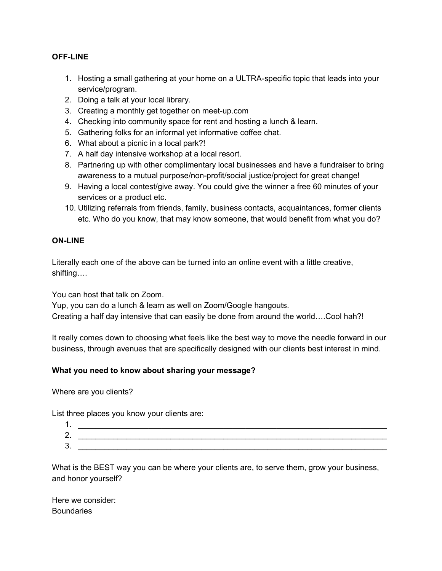### **OFF-LINE**

- 1. Hosting a small gathering at your home on a ULTRA-specific topic that leads into your service/program.
- 2. Doing a talk at your local library.
- 3. Creating a monthly get together on meet-up.com
- 4. Checking into community space for rent and hosting a lunch & learn.
- 5. Gathering folks for an informal yet informative coffee chat.
- 6. What about a picnic in a local park?!
- 7. A half day intensive workshop at a local resort.
- 8. Partnering up with other complimentary local businesses and have a fundraiser to bring awareness to a mutual purpose/non-profit/social justice/project for great change!
- 9. Having a local contest/give away. You could give the winner a free 60 minutes of your services or a product etc.
- 10. Utilizing referrals from friends, family, business contacts, acquaintances, former clients etc. Who do you know, that may know someone, that would benefit from what you do?

## **ON-LINE**

Literally each one of the above can be turned into an online event with a little creative, shifting….

You can host that talk on Zoom.

Yup, you can do a lunch & learn as well on Zoom/Google hangouts. Creating a half day intensive that can easily be done from around the world….Cool hah?!

It really comes down to choosing what feels like the best way to move the needle forward in our business, through avenues that are specifically designed with our clients best interest in mind.

# **What you need to know about sharing your message?**

Where are you clients?

List three places you know your clients are:

| . .           |  |
|---------------|--|
| ົ<br><u>.</u> |  |
| ⌒<br>J.       |  |

What is the BEST way you can be where your clients are, to serve them, grow your business, and honor yourself?

Here we consider: **Boundaries**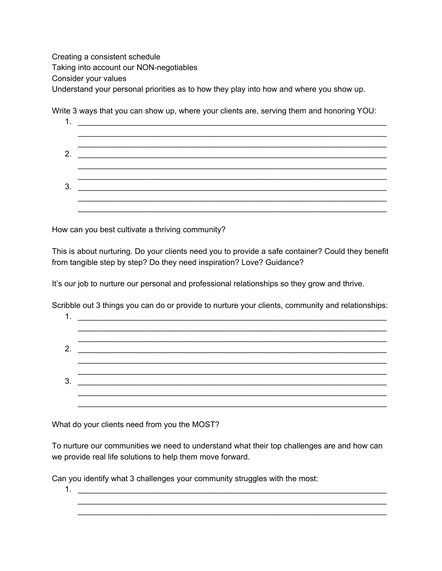Creating a consistent schedule Taking into account our NON-negotiables Consider your values Understand your personal priorities as to how they play into how and where you show up.

Write 3 ways that you can show up, where your clients are, serving them and honoring YOU:

| 2. | <u> 2000 - Jan James James Barnett, martin eta industrial eta industrial eta industrial eta industrial eta industria</u> |  |  |
|----|--------------------------------------------------------------------------------------------------------------------------|--|--|
|    |                                                                                                                          |  |  |
| 3. |                                                                                                                          |  |  |
|    |                                                                                                                          |  |  |
|    |                                                                                                                          |  |  |

How can you best cultivate a thriving community?

This is about nurturing. Do your clients need you to provide a safe container? Could they benefit from tangible step by step? Do they need inspiration? Love? Guidance?

It's our job to nurture our personal and professional relationships so they grow and thrive.

Scribble out 3 things you can do or provide to nurture your clients, community and relationships:

|    | <u> 1989 - Johann Barn, mars eta inperiodoren erroman erroman erroman ezkin erroman erroman ez erroman ez erroman</u> |
|----|-----------------------------------------------------------------------------------------------------------------------|
|    |                                                                                                                       |
|    |                                                                                                                       |
| 2. |                                                                                                                       |
|    |                                                                                                                       |
|    |                                                                                                                       |
| 3. |                                                                                                                       |
|    |                                                                                                                       |
|    |                                                                                                                       |

What do your clients need from you the MOST?

To nurture our communities we need to understand what their top challenges are and how can we provide real life solutions to help them move forward.

Can you identify what 3 challenges your community struggles with the most:

1. \_\_\_\_\_\_\_\_\_\_\_\_\_\_\_\_\_\_\_\_\_\_\_\_\_\_\_\_\_\_\_\_\_\_\_\_\_\_\_\_\_\_\_\_\_\_\_\_\_\_\_\_\_\_\_\_\_\_\_\_\_\_\_\_\_\_\_\_\_\_ \_\_\_\_\_\_\_\_\_\_\_\_\_\_\_\_\_\_\_\_\_\_\_\_\_\_\_\_\_\_\_\_\_\_\_\_\_\_\_\_\_\_\_\_\_\_\_\_\_\_\_\_\_\_\_\_\_\_\_\_\_\_\_\_\_\_\_\_\_\_

\_\_\_\_\_\_\_\_\_\_\_\_\_\_\_\_\_\_\_\_\_\_\_\_\_\_\_\_\_\_\_\_\_\_\_\_\_\_\_\_\_\_\_\_\_\_\_\_\_\_\_\_\_\_\_\_\_\_\_\_\_\_\_\_\_\_\_\_\_\_